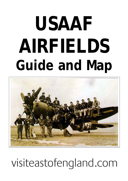# **USAAF AIRFIELDS Guide and Map**



## visiteastofengland.com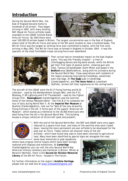## **Introduction**

During the Second World War, the East of England became home to hundreds of US airmen. They began arriving in 1942, with many existing RAF (Royal Air Force) airfields made available to the USAAF (United States Army Air Force). By 1943 there were



over 100,000 US airmen based in Britain. The largest concentration was in the East of England, where most of the 8th Air Force and some of the 9th were located on near a hundred bases. The 8th Air Force was the largest air striking force ever committed to battle, with the first units arriving in May 1942. The 9th Air Force was re-formed in England in October 1943 - it was the operator of the most formidable troop-carrying force ever assembled.



Their arrival had an immediate impact on the East Anglian scene. This was the 'friendly invasion' - a time of jitterbugging dances and big band sounds, while the British got their first taste of peanut butter, chewing gum and Coke. Famous US bandleader Glenn Miller was based in the **Bedford** area (Bedfordshire), along with his orchestra during the Second World War. Close associations with residents of the region produced long lasting friendships, sometimes even marriage. At **The Eagle** pub in Cambridge (Cambridgeshire), and **The Swan Hotel** at Lavenham (Suffolk), airmen left their signatures on the ceiling/walls.

The aircraft of the USAAF were the B-17 Flying Fortress and B-24 Liberator - used by the Bombardment Groups (BG); and the P-51 Mustang, P-38 Lightning and P-47 Thunderbolt - used by the Fighter Groups (FG). **Bassingbourn** (Cambridgeshire) was the wartime home of the famous 'Memphis Belle' - the first B-17 to complete her tour of duty during World War II. At the **Imperial War Museum** at Duxford (Cambridgeshire), look out for 'Sally B' the only airworthy Flying Fortress in the UK. It forms part of the superb 'American Air Museum', which stands as a memorial to the 30,000 Americans who died flying from the UK in the Second World War. This building houses a unique collection of US aircraft (past and present),





With the end of the Second World War, the RAF and USAAF were once again reduced to a peace-time level, and many of the wartime sites were closed down, leaving the more permanent pre-war airfields to be developed for the post-war air force. Today visitors can discover many of the old airfields - which have found new uses or have been returned to agricultural land. Many have been identified by special signs set alongside the road, some have memorials to past squadrons,

others have original control towers which have been lovingly restored with displays and exhibitions. At **Cambridge** (Cambridgeshire) you can visit the only Second World War American military cemetery and memorial in Britain. Whilst at Norwich (Norfolk), there is the **Second Air Division Memorial Library** of the 8th Air Force - housed in The Forum.

For further information on the region's **Aviation Heritage**, please visit our web site at [www.visiteastofengland.com](http://www.visiteastofengland.com/)

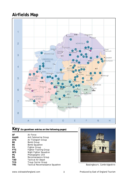## **Airfields Map**



## **Key** *(to gazetteer entries on the following pages)*

| AF         | Air Force                        |
|------------|----------------------------------|
| AsubG      | Anti Submarine Group             |
| ATG        | Air Transport Group              |
| ВG         | <b>Bomb Group</b>                |
| BS         | Bomb Squadron                    |
| FG         | <b>Fighter Group</b>             |
| <b>FTG</b> | <b>Fighter Training Group</b>    |
| <b>NFS</b> | Night Fighter Squadron           |
| PG         | Photographic Unit                |
| RG         | Reconnaissance Group             |
| <b>TAD</b> | <b>Tactical Air Depot</b>        |
| <b>TCG</b> | <b>Troup Carrier Group</b>       |
| TRS        | Tactical Reconnaissance Squadron |
|            |                                  |



**TRS** Tactical Reconnaissance Squadron*Bassingbourn, Cambridgeshire*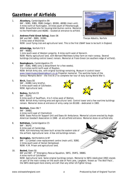## **Gazetteer of Airfields**

- 1. **Alconbury,** Cambridgeshire B4 8AF - 92BG, 93BG, 95BG (lodger), 801BG, 482BG (main unit). 4 miles north of Huntingdon, 19 miles south of Peterborough. *NOW:* Brownfield site for housing/distribution centre. Memorial to the Pathfinders and 482BG - located at entrance to airfield.
- 2. **Andrews Field (Great Saling),** Essex D6 8AF and 9AF - 96BG, 322BG. *Thorpe Abbotts, Norfolk* 3 miles west of Braintree. *NOW:* Local flying club and agricultural land. This is the first USAAF base to be built in England.
- 3. **Attlebridge,** Norfolk F2/3 8AF - 466BG. 1 mile south west of Weston Longville, 8 miles north west of Norwich. *NOW:* Mainly agricultural land, with Bernard Matthews turkey farm on main runway. Several buildings (including control tower) remain. Memorial at Frans Green (on southern edge of airfield).
- 4. **Bassingbourn,** Cambridgeshire C5 8AF - 91BG, 94BG (only a detachment for a few weeks). 3 to 4 miles north/north west of Royston. *NOW:* British Army site, with original buildings remaining. Museum in control tower [www.towermuseumbassingbourn.co.uk](http://www.towermuseumbassingbourn.co.uk/) Propeller memorial. The wartime home of the famous 'Memphis Belle' - the first B-17 to complete her tour of duty during World War II.
- 5. **Birch,** Essex E6 9AF - 410BG (very briefly). 5 miles south west of Colchester. *NOW:* Agricultural land.
- 6. **Bodney,** Norfolk E3 8AF - 352FG. 6 miles south of Swaffham, 4 to 5 miles west of Watton. *NOW:* British Army training area and agricultural land. Control tower and a few wartime buildings remain. Memorial stone at entrance of army camp (on B1108) - dedicated in 1983.
- 7. **Boreham,** Essex D6/7 9AF - 394BG. 4 miles north east of Chelmsford. *NOW:* Essex Police Air Support Unit and Essex Air Ambulance. Memorial column erected by Anglo American Goodwill Association in 1948 - at old airfield entrance. Memorial stone on airfield site.
- 8. **Bottisham,** Cambridgeshire C5 8AF - 361FG. 6 miles east of Cambridge. *NOW:* A14 motorway has been built across the eastern side of the airfield. Agricultural land. A few old buildings remain.
- 9. **Bovingdon,** Hertfordshire A/B7 8AF - 11 Combat crew-replacement centre (main unit), 92BG. 2 miles south west of Hemel Hempstead. *NOW:* H.M. Prison and agricultural land.
- 10. **Boxted,** Essex E6 8AF and 9AF - 5<sup>th</sup> Emergency Rescue Squadron, 56FG, 354FG, 386BG. 4 miles north of Colchester. *NOW:* Agricultural land. Some original buildings remain. Memorial to 56FG (dedicated 1992) stands on part of the main runway on the south side of Park Lane, Langham. Known as 'The Wolf Pack', the 56FG destroyed more enemy aircraft than any other US Fighter Group.









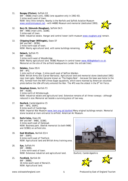- 11. **Bungay (Flixton),** Suffolk G3 8AF - 446BG (main unit), 93BG (one squadron only in 1942-43). 2 miles south west of town. *NOW:* Very little remains. Nearby is the Norfolk and Suffolk Aviation Museum [www.aviationmuseum.net](http://www.aviationmuseum.net/) - with 446BG Museum and memorial (dedicated 1993).
- 12. **Bury St. Edmunds (Rougham),** Suffolk E4/5 8AF - 94BG (main unit), 322BG. 3 miles east of town. *NOW:* Industrial estate. Hangar and control tower (with museum [www.rougham.org](http://www.rougham.org/)) remain.
- 13. **Chipping Ongar (Willingale),** Essex D7 8AF and 9AF - 387BG. 2 miles north east of town. *NOW:* Mainly agricultural land, with some buildings remaining.



- 14. **Debach,** Suffolk F5 8AF - 493BG. 3 miles north west of Woodbridge. *NOW:* Mainly agricultural land. 493BG Museum in control tower [www.493bgdebach.co.uk.](http://www.493bgdebach.co.uk/) Memorial on the site of the airfield headquarters (under the old oak tree).
- 15. **Debden,** Essex D5/6

8AF - 4FG.

 1 mile north of village, 2 miles south east of Saffron Walden. *NOW:* British Army site (Carver Barracks). Agricultural land and memorial stone (dedicated 1981) near main gate. Debden became known as 'The Eagles Nest' - because the base was home to the 4FG, formed from the RAF's three Eagle squadrons, which were manned by American volunteer pilots before the USA officially entered the War. The 4FG was the oldest in the  $8<sup>th</sup>$  Air Force.

16. **Deopham Green,** Norfolk F3

 8AF - 452BG. 2 miles north of Attleborough. *NOW:* Industrial estate and agricultural land. Extensive remains of all three runways - although reduced in size. Memorial set beside a surviving piece of taxi-way.

- 17. **Duxford,** Cambridgeshire C5 8AF - 78FG, 350FG. 8 miles south of Cambridge. *NOW:* Imperial War Museum [www.iwm.org.uk/duxford](http://www.iwm.org.uk/duxford) Many original buildings remain. Memorial stone located at main entrance to airfield. American Air Museum.
- 18. **Earls Colne,** Essex E6 8AF and 9AF - 94BG, 323BG. 4 miles south east of Halstead. *NOW:* Business park. Obelisk memorial (to both 94BG and 323BG) on airfield site.
- 19. **East Wretham,** Norfolk E3/4 8AF - 359FG. 6 miles north east of Thetford. *NOW:* Agricultural land and British Army training area.
- 20. **Eye,** Suffolk F4 8AF - 490BG. 1 mile north west of town. *NOW:* Extensive industrial and agricultural land. *Duxford, Cambridgeshire*
- 21. **Fersfield,** Norfolk E4 8AF - 388BG. 16 miles south west of Norwich. *NOW:* Agricultural land.



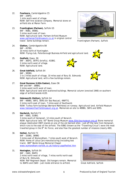- 22. **Fowlmere,** Cambridgeshire C5 8AF - 339FG. 1 mile south west of village. *NOW:* Self-hire aviation company. Memorial stone on airfield site at Manor Farm.
- 23. **Framlingham (Parham),** Suffolk G5 8AF - 95BG, 390BG. 3 miles south east of town. *NOW:* Agricultural land. Parham Airfield Museum [www.parhamairfieldmuseum.co.uk](http://www.parhamairfieldmuseum.co.uk/) in original control tower. Some buildings remain. *Framlingham (Parham), Suffolk*
- 24. **Glatton,** Cambridgeshire B4 8AF - 457BG. 10 miles north of Huntingdon. *NOW:* Flying club, Peterborough Business Airfield and agricultural land.
- 25. **Gosfield,** Essex, E6 9AF - 365FG, 397FG (briefly), 410BG. 2 miles north west of village.  *NOW:* Agricultural land.
- 26. **Great Ashfield,** Suffolk E4 8AF - 385BG. 1 to 2 miles south of village, 10 miles east of Bury St. Edmunds *NOW:* Agricultural land, with a few buildings remain.
- 27. **Great Dunmow (Little Easton),** Essex D6 8AF and 9AF - 386BG. 2 miles west/north west of town. *NOW:* Agricultural land with scattered buildings. Memorial column (erected 1948) on southern edge of airfield beside A120.
- 28. **Halesworth (Holton),** Suffolk G4 8AF - 489BG, 56FG, 5ERS (Air Sea Rescue), 496FTG. 2 miles north east of town, 7 miles west of Southwold. *NOW:* Turkey farm buildings (Bernard Matthews) on runway. Agricultural land. Airfield Museum [www.halesworthairfieldmuseum.org.uk.](http://www.halesworthairfieldmuseum.org.uk/) Memorials on site to 489BG, 56FG and 5ERS.
- 29. **Hardwick,** Norfolk F3 8AF - 93BG, 310BG.

3 miles south of Hempnall, 12 miles south of Norwich.

*NOW:* Agricultural land. 93rd Bomb Group Museum [www.93rd-bg-museum.org.uk](http://www.93rd-bg-museum.org.uk/) Stone memorial plaque (dedicated 1987) stands on one of the old barrack sites - just off the lane from Hempnall, which runs to the east of the airfield. The 93BG (known as the "Travelling Circus") were the most travelled group in the  $8<sup>th</sup>$  Air Force, and also flew the greatest number of missions (nearly 400).

- 30. **Hethel,** Norfolk F3 8AF - 320BG, 389BG 3 miles east of Wymondham, 7 miles south west of Norwich. *NOW:* Home of Lotus Cars manufacturing (including test track). 389<sup>th</sup> Bomb Group Memorial Chapel [www.wymondham-norfolk.co.uk/history/usaafhethel.htm](http://www.wymondham-norfolk.co.uk/history/usaafhethel.htm)
- 31. **Honington,** Suffolk E4 8AF - 1SAD, 364FG 2 miles north west of village, 7 miles north/north east of Bury St. Edmunds. *NOW:* RAF Regiment Depot. Old hangars remain. Memorial to 364FG and 1SAD - just inside entrance to airfield. *Great Ashfield, Suffolk*







#### www.visiteastofengland.com 6 B Roduced by East of England Tourism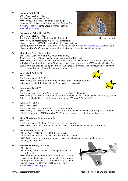- 32. **Horham,** Suffolk F4 8AF - 95BG, 323BG, 47BG. 4 miles east/south east of Eye. *NOW:* Agricultural land. Few original buildings remain - with 'artwork' within some (Red Feather Club Museum). Also 95<sup>th</sup> Bomb Group Hospital Museum. [www.95thbg-horham.com](http://www.95thbg-horham.com/)
- 33. **Horsham St. Faith,** Norfolk F2/3 8AF - 56FG, 319BG, 458BG. 2 miles south of village, 4 miles north of Norwich. *Horham, Suffolk NOW:* Norwich International Airport - with memorial display/plaque to 458BG in terminal building. Many original buildings remain. Close by is the City of Norwich Aviation Museum [www.cnam.co.uk](http://www.cnam.co.uk/), which has a display on the 458BG - a small memorial is situated near the entrance of the complex.
- 34. **Kimbolton,** Cambridgeshire B4 8AF - 17BG, 91BG (very briefly), 379BG (main unit). 1 to 2 miles north of town, 8 miles west/south west of Huntingdon. *NOW:* Agricultural land, karting track and industrial estate. The lines of the old main runway are still visible from the Kimbolton to Stow Longa road. Memorial stone to 379BG on airfield site. The 379BG were the only unit to be given the  $8<sup>th</sup>$  Air Force Slam Award - which included best bombing results, lowest losses of aircraft and lowest 'abort' rate.

*NOW:* Mainly agricultural land. Control tower still intact. It's first Commanding Officer was Colonel

*NOW:* Mainly agricultural land - with a few original buildings remaining. Caravan park situated on

35. **Knettishall,** Suffolk E4 8AF - 388BG. 6 miles south east of Thetford. *NOW:* Mainly agricultural land. Impressive black granite memorial at old entrance to airfield. It stands at the Coney Weston crossroads.

3 miles north west of town, 10 miles south east of Bury St. Edmunds.

2 miles north west of town, 4 miles north of Aldeburgh.

Beirne Lay who had been a Hollywood script-writer ("Twelve O'Clock High").

old site. Memorial to 357FG (erected 1997) on a section of the airfield perimeter track.

37. **Leiston,** Suffolk G5

8AF - 357FG, 358FG.

36. **Lavenham,** Suffolk E5 8AF - 487BG.

- 38. **Little Staughton,** Cambridgeshire B4 8AF - 2SAD. 2 miles south east of village, 9 miles north east of Bedford. *NOW:* Agricultural land, private airfield and industrial use. Original control tower remains.
- 39. **Little Walden,** Essex D5 8AF and 9AF - 56FG, 361FG, 493BG (temporary). 2 miles south of Hadstock, 3 miles north of Saffron Walden. *NOW:* Agricultural land. A few buildings remain, including control tower with memorial plaque (dedicated 1997).
- 40. **Martlesham Heath,** Suffolk F5 8AF - 356FG. Immediately south/south west of village, 6 miles north east of Ipswich. *NOW:* Housing and industrial estate - with much of the original airfield now bisected by the A12. Many original buildings remain. Memorial on old RAF parade ground in Barrack Square. Martlesham Heath Control Tower Museum [www.mhas.org.uk](http://www.mhas.org.uk/)







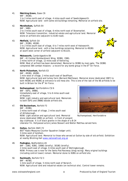41. **Matching Green,** Essex C6

 9AF - 391BG. 1 to 2 miles north east of village, 4 miles south east of Sawbridgeworth. *NOW:* Agricultural land - with some old buildings remaining. Memorial on airfield site.

42. **Mendlesham,** Suffolk E4 8AF - 34BG.

 2 to 3 miles south east of village, 6 miles north east of Stowmarket. *NOW:* Television transmitter, industrial estate and agricultural land. Memorial stone on airfield site (adjacent to A140 road).

- 43. **Metfield,** Suffolk G4 8AF - 353BG, 491BG. 1 to 2 miles south east of village, 6 to 7 miles north west of Halesworth. *NOW:* Agricultural land - with a few buildings remaining. Memorial to 491BG at south-west corner of airfield (adjacent to B1123).
- 44. **Molesworth,** Cambridgeshire B4 8AF - 41 Combat Bombardment Wing, 303BG, 15BG. 2 miles north of village, 12 miles east of Kettering. *NOW:* Most of airfield has been demolished. Memorial to 303BG by main gate. The 303BG completed 364 combat missions - a record for any bomb group in the  $8<sup>th</sup>$  Air Force.
- 45. **North Pickenham,** Norfolk E3 8AF - 491BG, 492BG. 1 mile west of village, 2 miles south east of Swaffham. *NOW:* Agricultural land and turkey farm (Bernard Matthews). Memorial stone (dedicated 1987) to both 491BG and 492BG at entrance to old mess site. This is one of the last of the 66 airfields to be built in Britain for the  $8<sup>th</sup>$  Air Force.
- 46. **Nuthampstead**, Hertfordshire C5/6 8AF - 55FG, 398BG. Immediately east of village, 5 to 6 miles south east of Royston. *NOW:* Light industry and agricultural land. Memorials to both 55FG and 398BG beside airfield site.
- 47. **Old Buckenham,** Norfolk F3 8AF - 453BG. 2 miles north east of village, 2 miles south east of Attleborough. *NOW:* Light aviation and agricultural land. Memorial *Nuthampstead, Hertfordshire* stone (dedicated 1990) on airfield - in front of present day clubhouse. It is of black granite in the shape of a B-24 Liberator fin. Hollywood actors James Stewart and Walter Matthau served here.
- 48. **Oulton,** Norfolk (RAF) F2 803rd Radio Measures Counter Squadron (lodger unit). 3 miles west of Aylsham. *NOW:* Agricultural land. Memorial to those who served at Oulton by side of old airfield. Exhibition at nearby Blickling Hall [www.nationaltrust.org.uk](http://www.nationaltrust.org.uk/)
- 49. **Podington,** Bedfordshire A5 8AF - 15BG, 92BG, 100BG (briefly), 301BG (briefly). 2 miles south east of village, 6 miles south east of Wellingborough. *NOW:* Primary use is now for the Santa Pod Raceway (drag racing). Many original buildings (including control tower) remain. Memorial stone to 92BG on airfield site.
- 50. **Rackheath,** Norfolk F2/3 8AF - 467BG. 1 mile south of village, 5 miles north east of Norwich. *NOW:* Agricultural land and industrial estate (on technical site). Control tower remains.



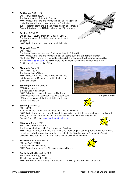- 51. **Rattlesden,** Suffolk E5 8AF - 447BG (part 322BG). 9 miles south east of Bury St. Edmunds. *NOW:* Agricultural land and flying/gliding club. Hanger and control tower still stand. Memorial stone (dedicated 1984) - located along the old east-west runway at Hightown Green. It features the 447BG's tail-marking 'K in a square'.
- 52. **Raydon,** Suffolk F5 8AF and 9AF - 353FG (main unit), 357FG, 358FG. 3 miles south east of Hadleigh, 8 miles south west of Ipswich. *NOW:* Agricultural land. Memorial on airfield site.
- 53. **Ridgewell,** Essex E5 8AF - 381BG.

 8 miles north west of Halstead, 6 miles south east of Haverhill. *NOW:* Agricultural land and flying/gliding club. Some buildings still remain. Memorial (dedicated 1982) located on the old base hospital site. Ridgewell Airfield Commemorative Museum [www.381st.com](http://www.381st.com/) The 381BG were the only long term heavy bomber base of the 8<sup>th</sup> Air Force in the county of Essex.

- 54. **Rivenhall,** Essex E6 9AF - 363FG, 397BG. 2 miles north of Witham. *NOW:* Agricultural land. Several original wartime buildings remain. Memorial on airfield, close to Silver End village.
- 55. **Sculthorpe,** Norfolk (RAF) E2 803BS (lodger unit). 3 miles west of Fakenham. *NOW:* Extensive remains of runways. The former accommodation and technical sites have been sold *Ridgewell, Essex* off for other uses - whilst the airfield is still used for military exercises.
- 56. **Seething,** Norfolk G3 8AF - 448BG. 1 to 2 miles south of village, 10 miles south east of Norwich. *NOW:* Agricultural land and local flying club. Memorials on airfield (near clubhouse - dedicated 1994), and also in front of the control tower (dedicated 1990). Seething Airfield

Control Tower Museum [www.seething-airfield.com](http://www.seething-airfield.com/)

- 57. **Shipdham,** Norfolk E/F3 8AF - 44BG, 319BG (briefly). 2 miles east of village, 5 to 6 miles south of Dereham. *NOW:* Industry, agricultural land and flying club. Many original buildings remain. Marker to 44BG on side of control tower. Memorial located outside the Shipdham Aero Club building's main
- 58. **Snailwell,** Cambridgeshire D4 8AF and 9AF - 350FG. 2 miles north of Newmarket. *NOW:* Agricultural land. The A14 bypass bisects the site.
- 59. **Snetterton Heath,** Norfolk E3/4 8AF - 386BG (briefly), 96BG. 10 miles north east of Thetford. *NOW:* Snetterton motor racing track. Memorial to 96BG (dedicated 2001) on airfield.







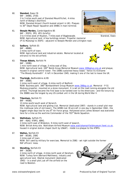- 60. **Stansted,** Essex C6 9AF - 344BG, 2TAD. 2 to 3 miles south east of Stansted Mountfitchet, 4 miles north of Bishop's Stortford. *NOW:* Stansted Airport (fourth busiest airport in UK). Plaques to 30<sup>th</sup> Depot Repair Squadron and 344BG in main terminal.
- 61. **Steeple Morden,** Cambridgeshire B5 8AF - 355FG, 3PG, 4FG (briefly). 3 to 4 miles west of Royston, 7 miles east of Biggleswade. *Stansted, Essex NOW:* Agricultural land. A few buildings remain. Propeller memorial (P-51 Mustang) to 355FG - adjacent to Steeple Morden and Litlington road.
- 62. **Sudbury**, Suffolk E5 8AF - 486BG. 2 miles north of town. *NOW:* Agricultural land and industrial estate. Memorial located at entrance to the old airfield.
	-

63. **Thorpe Abbots,** Norfolk F4

8AF - 100BG.

 1 mile north west of village, 5 miles east of Diss. *NOW:* Agricultural land. 100<sup>th</sup> Bomb Group Memorial Museum [www.100bgmus.org.uk](http://www.100bgmus.org.uk/) and plaque, housed in original control tower. The 100BG sustained heavy losses - hence its nickname "The Bloody Hundredth". It left in December 1945, making it one of the last to leave the UK.

64. **Thurleigh,** Bedfordshire A/B5

8AF - 306BG.

2 miles north west of village, 6 miles north of Bedford.

*NOW:* Business park. 306<sup>th</sup> Bombardment Group Museum [www.306bg.co.uk.](http://www.306bg.co.uk/) Memorial - P-51 Mustang propeller, mounted on a stone monument. It is set on the road running alongside the old airfield. Thurleigh became the first base to be handed over to the Americans - and the tenure by the 306BG was the longest by any US combat unit in the UK during World War II.

65. **Tibenham,** Norfolk F3

8AF - 445BG.

13 miles south/south west of Norwich.

 NOW: Agricultural land and gliding club. Memorial (dedicated 1997) - stands in a small plot near the clubhouse (site of old tower). The 445BG lost 30 aircraft in one day in September 1944 – the biggest single days loss for any 8th Air Force group. Hollywood actor James Stewart was stationed here for a time as the wartime Commander of the 703<sup>rd</sup> Bomb Squadron.

66. **Wattisham,** Suffolk F5

 8AF - 4SAD, 479FG, 68RG. 2 miles north east of Bildeston, 9 miles north west of Ipswich. NOW: British Army site. Wattisham Airfield Museum [www.wattishamairfieldmuseum.fsnet.co.uk,](http://www.wattishamairfieldmuseum.fsnet.co.uk/) housed in original station chapel (built by USAAF) - inside is a plaque to the 479FG.

- 67. **Watton,** Norfolk E3 8AF - 801BG, 25BG 2 miles east of town. NOW: Still used by military for exercises. Memorial to 25BG - set right outside the former RAF officers' mess.
- 68. **Wendling,** Norfolk E3

 8AF - 392BG. 2 miles north of village, 4 miles north west of Dereham. *NOW:* Turkey farm (Bernard Matthews), industry and agricultural land. Obelisk monument (dedicated 1945) - in a small plot just off the airfield on the road to Beeston.



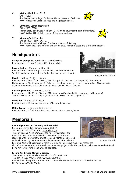70. **Wittering,** Cambridgeshire B3 8AF - 20FG, 56FG. Immediately north west of village, 2 to 3 miles south/south east of Stamford. *NOW:* Active RAF airfield - home of Harrier squadrons.



## **Headquarters**

**Brampton Grange**, nr. Huntingdon, Cambridgeshire Headquarters of 1<sup>st</sup> Air Division, 8AF. Now a hotel.

**Bushey Hall**, nr. Watford, Hertfordshire Headquarters of the VIII Fighter Command, 8AF. Now demolished. Small fenced memorial tablet in Bushey Park commemorating site.

**Elveden Hall**, nr. Thetford, Suffolk

Headquarters of the 3rd Air Division, 8AF. Now private *(not open to the public).* Memorial at Elveden church (St. Andrew and St. Patrick) - kneeling airman in stained glass window. Also memorial stone in the grounds of the Church of St. Peter and St. Paul at Griston.

**Ketteringham Hall**, nr. Norwich, Norfolk Headquarters of the 2nd Air Division, 8AF. Now Lotus Cars head office *(not open to the public)*. There is a small memorial plaque (dedicated in 1987) in the hall's grounds.

**Marks Hall**, nr. Coggeshall, Essex Headquarters of IX Bomber Command, 9AF. Now demolished.

**Milton Ernest**, nr. Bedford, Bedfordshire Headquarters of 8<sup>th</sup> Air Force Service Command. Now a nursing home.

## **Memorials**

**Cambridge American Cemetery and Memorial**

Coton, nr. Cambridge, Cambridgeshire CB3 7PH *Tel:* +44 (0)1223 210350. *Web:* [www.abmc.gov](http://www.abmc.gov/) The only Second World War American military cemetery and memorial in Britain - established in December 1943. Visitor reception with information, graves area and Memorial. Operated and maintained by the American Battle Monuments Commission. *Bodney, Norfolk*



*Features:* Memorial has museum room featuring an impressive map. This recalls the aircraft which operated in the anti-submarine campaign, whilst the continuous air assaults by the US and Royal Air Force over Europe are also depicted.

**Second Air Division Memorial Library**

The Forum, Millennium Plain, Norwich, Norfolk NR2 1AW

*Tel:* +44 (0)1603 774747. *Web:* [www.2ndair.org.uk](http://www.2ndair.org.uk/)

An American library and war memorial to those who served in the Second Air Division of the 8th Air Force in World War II.



*Elveden Hall, Suffolk* 

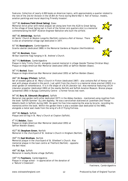*Features:* Collection of nearly 4,000 books on American topics, with approximately a quarter related to the role of the 2nd Air Division in the US 8th Air Force during World War II. Roll of honour, models, aviation paintings and mural depicting 'Friendly Invasion'.

#### 322nd BG **Andrews Field (Great Saling)**, Essex

Memorial (brick pillar with metal plaque) set along lane from the A120 to Great Saling. In the village of Great Saling (set in front of the former sick quarters site) is a memorial commemorating the 819<sup>th</sup> Aviation Engineer Battalion who built the airfield.

466th BG **Attlebridge**, Norfolk

All Saints' Church at Weston Longville (Norfolk) contains a Roll of Honour. There is also an ornamental village sign dedicated in 1977.

91st BG **Bassingbourn**, Cambridgeshire Granite obelisk (dedicated 1989) in the Memorial Gardens at Royston (Hertfordshire).

394th BG **Boreham**, Essex 48 Star (wartime flag) hanging in St. Andrew's Church.

#### 361<sup>st</sup> FG Bottisham, Cambridgeshire

Plaque in Holy Trinity Church, alongside covered memorial in village (beside Thomas Christian Way). Plaque on Anglo-American War Memorial (dedicated 1955) at Saffron Walden (Essex).

#### 56th FG **Boxted**, Essex

Plaque on Anglo-American War Memorial (dedicated 1955) at Saffron Walden (Essex).

#### 466th BG **Bungay (Flixton)**, Suffolk

Set of wooden gates at St. Mary's Church in Flixton (dedicated 1987) - also contains Roll of Honour and seat with plaque situated in the porch. Just uphill from the church is a memorial stone erected (2003) in a small garden of remembrance. It is in the shape of a B-24 Liberator tail. Also memorial featuring a B-24 Liberator propeller (dedicated 1993) at the nearby Norfolk and Suffolk Aviation Museum. Bronze plaque (presented 1993) in Bungay Community Centre - a former forces rest room.

#### 94th BG **Bury St. Edmunds (Rougham)**, Suffolk

Memorial rose garden (with pillar dedicated 1977) in the Abbey Gardens - maintained using royalties from the book 'Suffolk Summer' by John Appleby. He was a serviceman stationed at Lavenham and Thorpe Abbotts (both in Suffolk) during 1945. He spent his free time exploring the area by bicycle, recording his memories within the book. Within the garden there is also a wooden seat dedicated to the 94BG, alongside a metal seat made from the wing of a B-17 Flying Fortress.

493rd BG **Debach**, Suffolk Plaque and US flag in St. Mary's Church at Clopton (Suffolk).

4th FG **Debden**, Essex Plaque on Anglo-American War Memorial (dedicated 1955) at Saffron Walden (Essex).

452nd BG **Deopham Green**, Norfolk Memorial in the churchyard of St. Andrew's Church in Hingham (Norfolk).

#### 359th FG **East Wretham**, Norfolk

Memorial plaque in the churchyard of St. Ethelbert's Church. Also memorial plaque in the town centre at Thetford (Norfolk) - opposite the Bell Hotel.

490th BG **Eye**, Suffolk Memorial in nearby Brome village (Suffolk).

339th FG **Fowlmere**, Cambridgeshire Plaque in village school - in appreciation of the donation of a 'Nature's Classroom'.





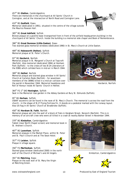457th BG **Glatton**, Cambridgeshire There are memorials in the churchyard at All Saints' Church in Conington, and at the intersection of North Road and Conington Lane.

#### 410th BG **Gosfield**, Essex

Memorial (dedicated in 1991), situated in the centre of the village outside the Maurice Rowson Hall.

385th BG **Great Ashfield**, Suffolk Bronze plaque on a granite base (transported from in front of the airfield headquarters building) in the churchyard of All Saints' Church. Inside the building is a memorial side chapel and Book of Remembrance.

386th BG **Great Dunmow (Little Easton)**, Essex Two stained glass memorial windows (dedicated 1990) in St. Mary's Church at Little Easton.

489th BG **Halesworth (Holton)**, Suffolk Memorial plaque at St. Peter's Church.

#### 93rd BG **Hardwick**, Norfolk

Memorial plaque in St. Margaret's Church at Topcroft (Norfolk). Also memorial (dedicated 1994) at Henham Park (Suffolk) - to the crews of two B-24 Liberators of the 93BG which collided here in mid-air in March 1944.

#### 389th BG **Hethel**, Norfolk

Memorial plaque and stained glass window in All Saints' Church at Carleton Rode (Norfolk) - for seventeen members of the 389BG killed in a mid-air collision over the parish in November 1944. Memorial headstone and *Hardwick, Norfolk* Roll of Honour inside All Saints' Church in Hethel.

364th FG 1st SAD **Honington**, Suffolk

Seat in the Memorial rose garden in the Abbey Gardens at Bury St. Edmunds (Suffolk).

#### 95th BG **Horham**, Suffolk

USAAF souvenirs can be found in the nave of St. Mary's Church. The memorial is across the road from the church - in the shape of B-17 Flying Fortress fin. It stands on a pedestal marked with the runway layout. Also US flag in All Saints' Church at Stradbroke (Suffolk).

458th BG **Horsham St. Faith**, Norfolk

Memorial plaque set into the wall of a block of flats in Heigham Street, Norwich (Norfolk). This is in memory of an aircraft crew who were all killed in a crash at nearby Barker Street in November 1944.

379th BG **Kimbolton**, Cambridgeshire

Tablet (near North Chapel screen) and memorial book in St. Andrew's Church.

487th BG **Lavenham**, Suffolk Memorial plaques in the Market Place, within St. Peter and St. Paul's Church and at The Swan Hotel.

357th FG **Leiston**, Suffolk Plaque in village square.



356th FG **Martlesham**, Suffolk Stained glass window (dedicated 2000) in the north wall of the Church of Michael's and All Angels. *Kimbolton, Cambridgeshire Kimbolton, Cambridgeshire* 

391st BG **Matching**, Essex Plaque on the east wall of St. Mary the Virgin at Matching Green.









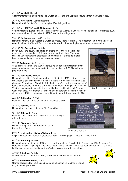#### 491st BG **Metfield**, Norfolk

A commemorative plaque inside the Church of St. John the Baptist honours airmen who were killed.

#### 303rd BG **Molesworth**, Cambridgeshire

Memorial in All Saints' Church at Brington (Cambridgeshire).

#### 491st BG and 492nd BG **North Pickenham**, Norfolk

Commemorative quartz clock in the sanctuary at St. Andrew's Church, North Pickenham - presented 1990. Also memorial bench dedicated to 491BG next to the village sign.

#### 398th BG **Nuthampstead**, Hertfordshire

Memorial window in St. George's Church at Anstey (Hertfordshire). The Woodman Inn in Nuthampstead was a local haunt of World War II airmen - its interior filled with photographs and memorabilia.

#### 453rd BG **Old Buckenham**, Norfolk

In May 1983, the 453BG dedicated an extension to the Village Hall as a memorial to the members of the group who lost their lives. The room contains various wartime artefacts and memorabilia, alongside a large bronze plaque listing those who are remembered.

#### 92nd BG **Podington**, Bedfordshire

At St. Mary's Church - the 92BG generously paid for the restoration of the organ, which now bears a memorial inscription above a B-17 Flying Fortress propeller blade.

#### 467th BG **Rackheath**, Norfolk

Memorial consisting of a plaque and bench (dedicated 1983) - situated near the village sign on the Salhouse Road, adjacent to Holy Trinity Church. Also plaque at St. Andrew's Church in Kirby Bedon (Norfolk) - this is in memory of four crew members killed in a crash near the building in August 1944. In July 1990, a new memorial was dedicated at the Rackheath Industrial Park on *Old Buckenham, Norfolk* Wendover Road. Also memorial in the village of Barsham (Suffolk) in honour of the seven 467th crewmen who were killed in a crash there in April 1944.

448th BG **Rattlesden**, Suffolk Plaque in the North Aisle Chapel of St. Nicholas Church.

353rd FG **Raydon**, Essex Memorial on the church doors of St. Mary's Church.

381st BG **Ridgewell**, Essex Plaque in the Church of St. Augustine of Canterbury at Ashen (Essex).

397th BG **Rivenhall**, Essex Memorial plaques on the Marconi office in Chelmsford (Essex).

65th FW Headquarters, **Saffron Walden**, Essex Anglo-American War Memorial (dedicated 1955) - on the playing fields off Castle Street.

#### 448th BG **Seething**, Norfolk

Memorial stone (dedicated 1984) in the churchyard at the Church of St. Margaret and St. Remigius. The Stars and Stripes flag hangs in the church itself, whilst an oak sapling has been planted near the village hall to commemorate the Bomb Group's close association with the village.

44th BG **Shipdham**, Norfolk Granite memorial (dedicated 1983) in the churchyard of All Saints' Church.

96th BG **Snetterton Heath**, Norfolk

Stained glass window, US flag and memorial chapel at St. Andrew's Church in Quidenham (Norfolk).





*Shipdham, Norfolk*